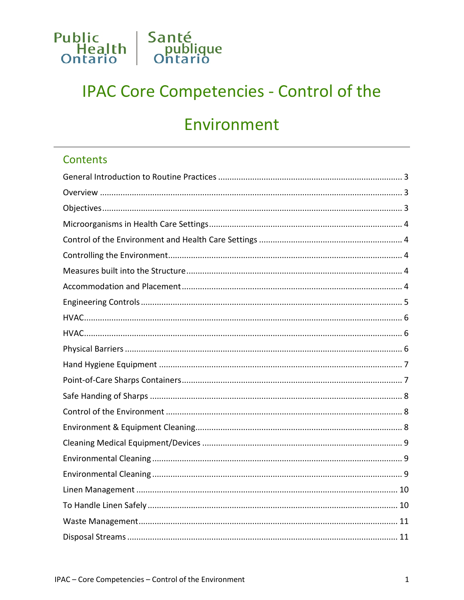

# **IPAC Core Competencies - Control of the**

# Environment

### **Contents**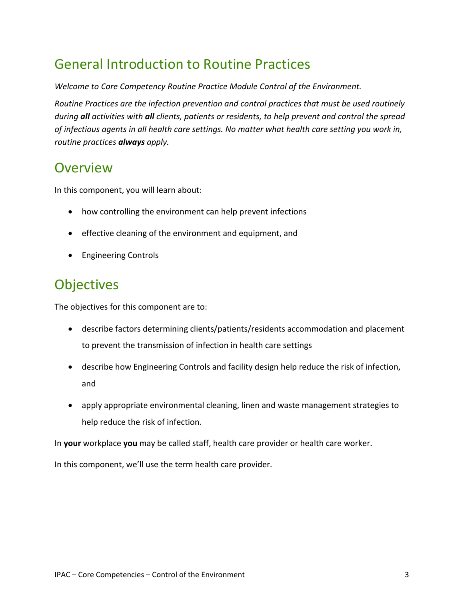## <span id="page-2-0"></span>General Introduction to Routine Practices

*Welcome to Core Competency Routine Practice Module Control of the Environment.*

*Routine Practices are the infection prevention and control practices that must be used routinely during all activities with all clients, patients or residents, to help prevent and control the spread of infectious agents in all health care settings. No matter what health care setting you work in, routine practices always apply.*

### <span id="page-2-1"></span>**Overview**

In this component, you will learn about:

- how controlling the environment can help prevent infections
- effective cleaning of the environment and equipment, and
- Engineering Controls

## <span id="page-2-2"></span>**Objectives**

The objectives for this component are to:

- describe factors determining clients/patients/residents accommodation and placement to prevent the transmission of infection in health care settings
- describe how Engineering Controls and facility design help reduce the risk of infection, and
- apply appropriate environmental cleaning, linen and waste management strategies to help reduce the risk of infection.

In **your** workplace **you** may be called staff, health care provider or health care worker.

In this component, we'll use the term health care provider.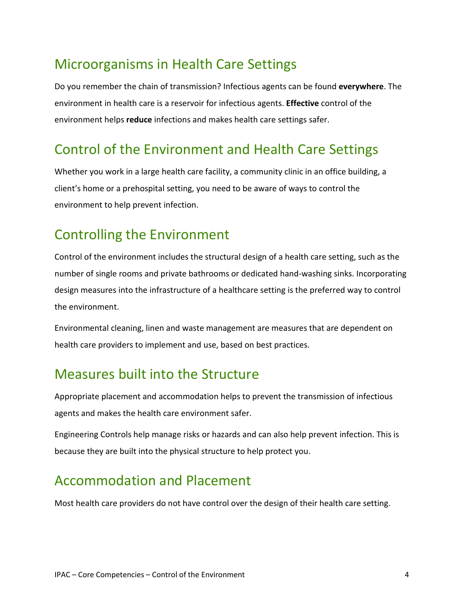## <span id="page-3-0"></span>Microorganisms in Health Care Settings

Do you remember the chain of transmission? Infectious agents can be found **everywhere**. The environment in health care is a reservoir for infectious agents. **Effective** control of the environment helps **reduce** infections and makes health care settings safer.

## <span id="page-3-1"></span>Control of the Environment and Health Care Settings

Whether you work in a large health care facility, a community clinic in an office building, a client's home or a prehospital setting, you need to be aware of ways to control the environment to help prevent infection.

## <span id="page-3-2"></span>Controlling the Environment

Control of the environment includes the structural design of a health care setting, such as the number of single rooms and private bathrooms or dedicated hand-washing sinks. Incorporating design measures into the infrastructure of a healthcare setting is the preferred way to control the environment.

Environmental cleaning, linen and waste management are measures that are dependent on health care providers to implement and use, based on best practices.

## <span id="page-3-3"></span>Measures built into the Structure

Appropriate placement and accommodation helps to prevent the transmission of infectious agents and makes the health care environment safer.

Engineering Controls help manage risks or hazards and can also help prevent infection. This is because they are built into the physical structure to help protect you.

## <span id="page-3-4"></span>Accommodation and Placement

Most health care providers do not have control over the design of their health care setting.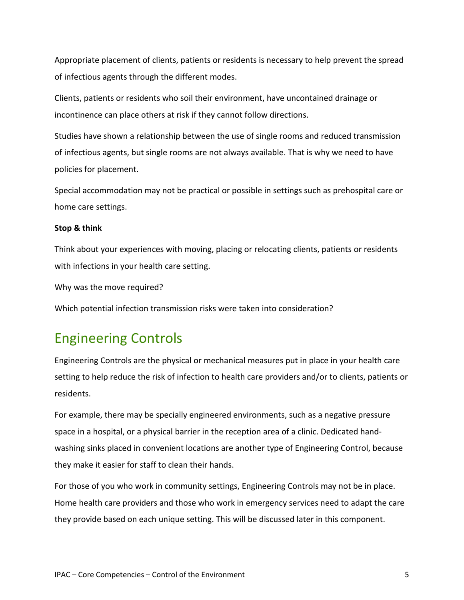Appropriate placement of clients, patients or residents is necessary to help prevent the spread of infectious agents through the different modes.

Clients, patients or residents who soil their environment, have uncontained drainage or incontinence can place others at risk if they cannot follow directions.

Studies have shown a relationship between the use of single rooms and reduced transmission of infectious agents, but single rooms are not always available. That is why we need to have policies for placement.

Special accommodation may not be practical or possible in settings such as prehospital care or home care settings.

#### **Stop & think**

Think about your experiences with moving, placing or relocating clients, patients or residents with infections in your health care setting.

Why was the move required?

Which potential infection transmission risks were taken into consideration?

### <span id="page-4-0"></span>Engineering Controls

Engineering Controls are the physical or mechanical measures put in place in your health care setting to help reduce the risk of infection to health care providers and/or to clients, patients or residents.

For example, there may be specially engineered environments, such as a negative pressure space in a hospital, or a physical barrier in the reception area of a clinic. Dedicated handwashing sinks placed in convenient locations are another type of Engineering Control, because they make it easier for staff to clean their hands.

For those of you who work in community settings, Engineering Controls may not be in place. Home health care providers and those who work in emergency services need to adapt the care they provide based on each unique setting. This will be discussed later in this component.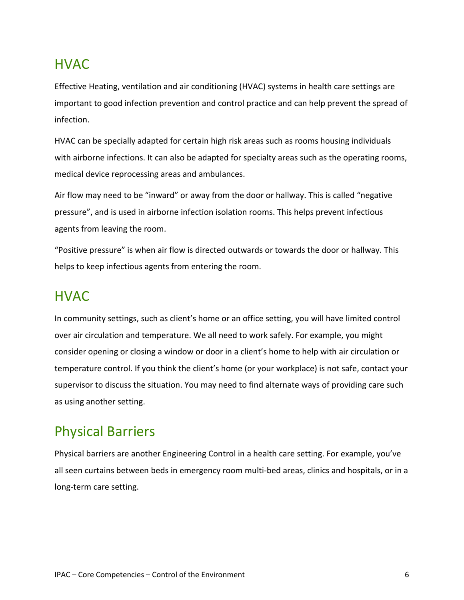## <span id="page-5-0"></span>HVAC

Effective Heating, ventilation and air conditioning (HVAC) systems in health care settings are important to good infection prevention and control practice and can help prevent the spread of infection.

HVAC can be specially adapted for certain high risk areas such as rooms housing individuals with airborne infections. It can also be adapted for specialty areas such as the operating rooms, medical device reprocessing areas and ambulances.

Air flow may need to be "inward" or away from the door or hallway. This is called "negative pressure", and is used in airborne infection isolation rooms. This helps prevent infectious agents from leaving the room.

"Positive pressure" is when air flow is directed outwards or towards the door or hallway. This helps to keep infectious agents from entering the room.

### <span id="page-5-1"></span>HVAC

In community settings, such as client's home or an office setting, you will have limited control over air circulation and temperature. We all need to work safely. For example, you might consider opening or closing a window or door in a client's home to help with air circulation or temperature control. If you think the client's home (or your workplace) is not safe, contact your supervisor to discuss the situation. You may need to find alternate ways of providing care such as using another setting.

### <span id="page-5-2"></span>Physical Barriers

Physical barriers are another Engineering Control in a health care setting. For example, you've all seen curtains between beds in emergency room multi-bed areas, clinics and hospitals, or in a long-term care setting.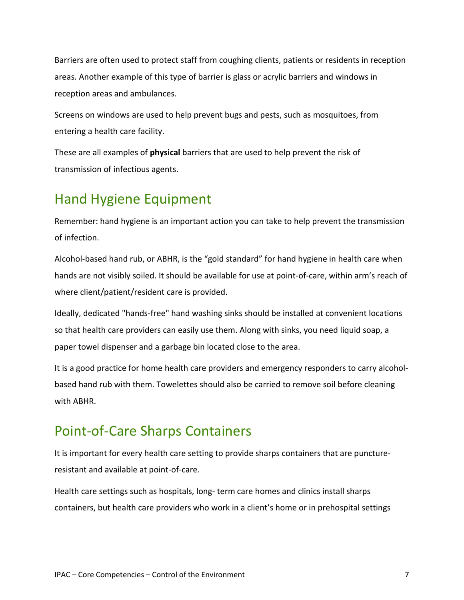Barriers are often used to protect staff from coughing clients, patients or residents in reception areas. Another example of this type of barrier is glass or acrylic barriers and windows in reception areas and ambulances.

Screens on windows are used to help prevent bugs and pests, such as mosquitoes, from entering a health care facility.

These are all examples of **physical** barriers that are used to help prevent the risk of transmission of infectious agents.

## <span id="page-6-0"></span>Hand Hygiene Equipment

Remember: hand hygiene is an important action you can take to help prevent the transmission of infection.

Alcohol-based hand rub, or ABHR, is the "gold standard" for hand hygiene in health care when hands are not visibly soiled. It should be available for use at point-of-care, within arm's reach of where client/patient/resident care is provided.

Ideally, dedicated "hands-free" hand washing sinks should be installed at convenient locations so that health care providers can easily use them. Along with sinks, you need liquid soap, a paper towel dispenser and a garbage bin located close to the area.

It is a good practice for home health care providers and emergency responders to carry alcoholbased hand rub with them. Towelettes should also be carried to remove soil before cleaning with ABHR.

## <span id="page-6-1"></span>Point-of-Care Sharps Containers

It is important for every health care setting to provide sharps containers that are punctureresistant and available at point-of-care.

Health care settings such as hospitals, long- term care homes and clinics install sharps containers, but health care providers who work in a client's home or in prehospital settings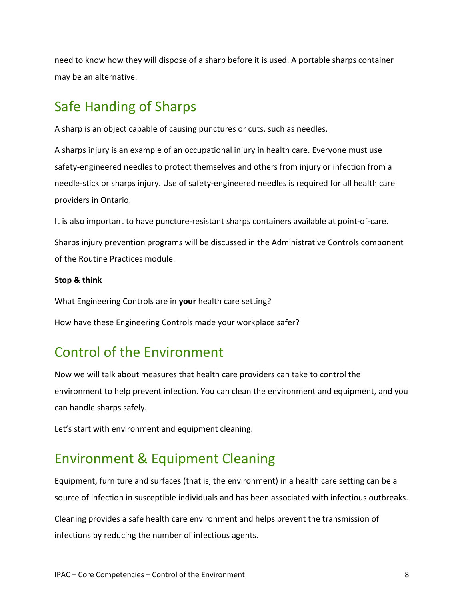need to know how they will dispose of a sharp before it is used. A portable sharps container may be an alternative.

## <span id="page-7-0"></span>Safe Handing of Sharps

A sharp is an object capable of causing punctures or cuts, such as needles.

A sharps injury is an example of an occupational injury in health care. Everyone must use safety-engineered needles to protect themselves and others from injury or infection from a needle-stick or sharps injury. Use of safety-engineered needles is required for all health care providers in Ontario.

It is also important to have puncture-resistant sharps containers available at point-of-care.

Sharps injury prevention programs will be discussed in the Administrative Controls component of the Routine Practices module.

#### **Stop & think**

What Engineering Controls are in **your** health care setting?

How have these Engineering Controls made your workplace safer?

## <span id="page-7-1"></span>Control of the Environment

Now we will talk about measures that health care providers can take to control the environment to help prevent infection. You can clean the environment and equipment, and you can handle sharps safely.

Let's start with environment and equipment cleaning.

## <span id="page-7-2"></span>Environment & Equipment Cleaning

Equipment, furniture and surfaces (that is, the environment) in a health care setting can be a source of infection in susceptible individuals and has been associated with infectious outbreaks.

Cleaning provides a safe health care environment and helps prevent the transmission of infections by reducing the number of infectious agents.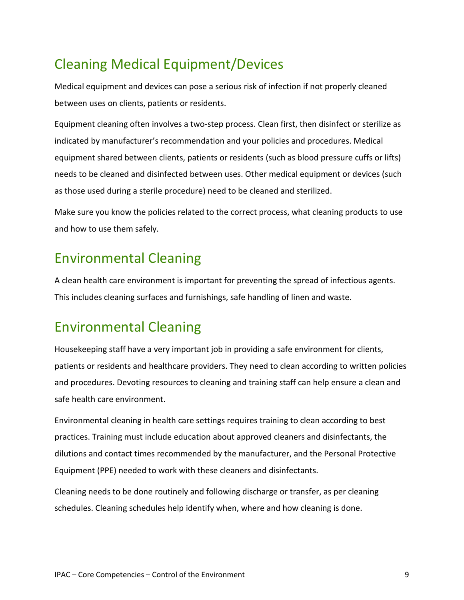# <span id="page-8-0"></span>Cleaning Medical Equipment/Devices

Medical equipment and devices can pose a serious risk of infection if not properly cleaned between uses on clients, patients or residents.

Equipment cleaning often involves a two-step process. Clean first, then disinfect or sterilize as indicated by manufacturer's recommendation and your policies and procedures. Medical equipment shared between clients, patients or residents (such as blood pressure cuffs or lifts) needs to be cleaned and disinfected between uses. Other medical equipment or devices (such as those used during a sterile procedure) need to be cleaned and sterilized.

Make sure you know the policies related to the correct process, what cleaning products to use and how to use them safely.

## <span id="page-8-1"></span>Environmental Cleaning

A clean health care environment is important for preventing the spread of infectious agents. This includes cleaning surfaces and furnishings, safe handling of linen and waste.

## <span id="page-8-2"></span>Environmental Cleaning

Housekeeping staff have a very important job in providing a safe environment for clients, patients or residents and healthcare providers. They need to clean according to written policies and procedures. Devoting resources to cleaning and training staff can help ensure a clean and safe health care environment.

Environmental cleaning in health care settings requires training to clean according to best practices. Training must include education about approved cleaners and disinfectants, the dilutions and contact times recommended by the manufacturer, and the Personal Protective Equipment (PPE) needed to work with these cleaners and disinfectants.

Cleaning needs to be done routinely and following discharge or transfer, as per cleaning schedules. Cleaning schedules help identify when, where and how cleaning is done.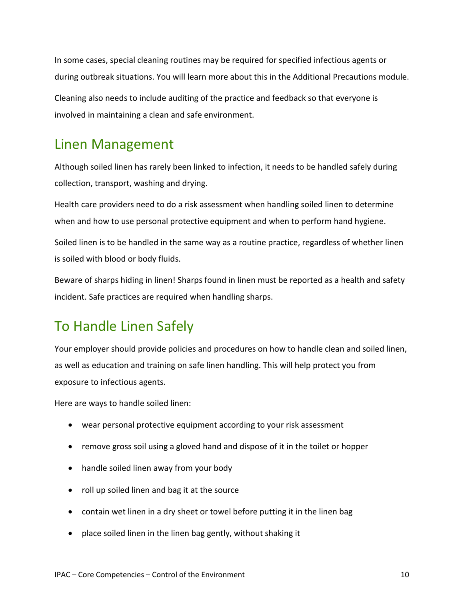In some cases, special cleaning routines may be required for specified infectious agents or during outbreak situations. You will learn more about this in the Additional Precautions module. Cleaning also needs to include auditing of the practice and feedback so that everyone is involved in maintaining a clean and safe environment.

## <span id="page-9-0"></span>Linen Management

Although soiled linen has rarely been linked to infection, it needs to be handled safely during collection, transport, washing and drying.

Health care providers need to do a risk assessment when handling soiled linen to determine when and how to use personal protective equipment and when to perform hand hygiene.

Soiled linen is to be handled in the same way as a routine practice, regardless of whether linen is soiled with blood or body fluids.

Beware of sharps hiding in linen! Sharps found in linen must be reported as a health and safety incident. Safe practices are required when handling sharps.

## <span id="page-9-1"></span>To Handle Linen Safely

Your employer should provide policies and procedures on how to handle clean and soiled linen, as well as education and training on safe linen handling. This will help protect you from exposure to infectious agents.

Here are ways to handle soiled linen:

- wear personal protective equipment according to your risk assessment
- remove gross soil using a gloved hand and dispose of it in the toilet or hopper
- handle soiled linen away from your body
- roll up soiled linen and bag it at the source
- contain wet linen in a dry sheet or towel before putting it in the linen bag
- place soiled linen in the linen bag gently, without shaking it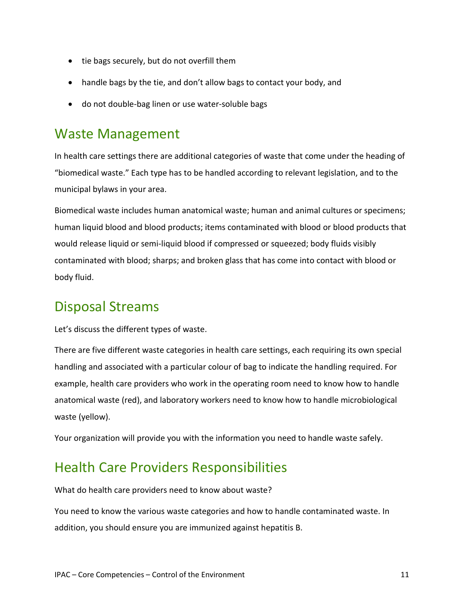- tie bags securely, but do not overfill them
- handle bags by the tie, and don't allow bags to contact your body, and
- do not double-bag linen or use water-soluble bags

## <span id="page-10-0"></span>Waste Management

In health care settings there are additional categories of waste that come under the heading of "biomedical waste." Each type has to be handled according to relevant legislation, and to the municipal bylaws in your area.

Biomedical waste includes human anatomical waste; human and animal cultures or specimens; human liquid blood and blood products; items contaminated with blood or blood products that would release liquid or semi-liquid blood if compressed or squeezed; body fluids visibly contaminated with blood; sharps; and broken glass that has come into contact with blood or body fluid.

## <span id="page-10-1"></span>Disposal Streams

Let's discuss the different types of waste.

There are five different waste categories in health care settings, each requiring its own special handling and associated with a particular colour of bag to indicate the handling required. For example, health care providers who work in the operating room need to know how to handle anatomical waste (red), and laboratory workers need to know how to handle microbiological waste (yellow).

Your organization will provide you with the information you need to handle waste safely.

## <span id="page-10-2"></span>Health Care Providers Responsibilities

What do health care providers need to know about waste?

You need to know the various waste categories and how to handle contaminated waste. In addition, you should ensure you are immunized against hepatitis B.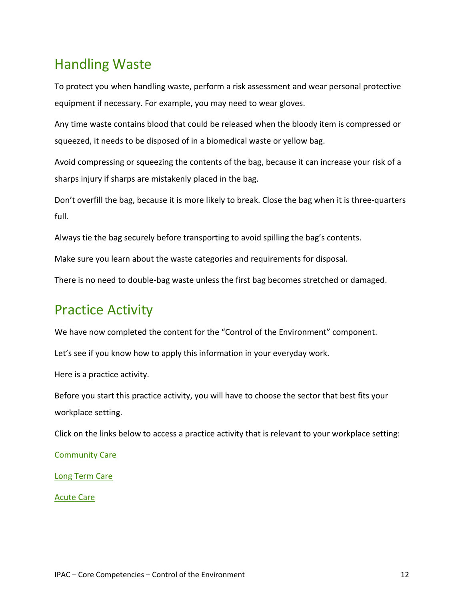## <span id="page-11-0"></span>Handling Waste

To protect you when handling waste, perform a risk assessment and wear personal protective equipment if necessary. For example, you may need to wear gloves.

Any time waste contains blood that could be released when the bloody item is compressed or squeezed, it needs to be disposed of in a biomedical waste or yellow bag.

Avoid compressing or squeezing the contents of the bag, because it can increase your risk of a sharps injury if sharps are mistakenly placed in the bag.

Don't overfill the bag, because it is more likely to break. Close the bag when it is three-quarters full.

Always tie the bag securely before transporting to avoid spilling the bag's contents.

Make sure you learn about the waste categories and requirements for disposal.

There is no need to double-bag waste unless the first bag becomes stretched or damaged.

### <span id="page-11-1"></span>Practice Activity

We have now completed the content for the "Control of the Environment" component.

Let's see if you know how to apply this information in your everyday work.

Here is a practice activity.

Before you start this practice activity, you will have to choose the sector that best fits your workplace setting.

Click on the links below to access a practice activity that is relevant to your workplace setting:

[Community Care](#page-12-2)

[Long Term Care](#page-16-1)

<span id="page-11-2"></span>[Acute Care](#page-19-1)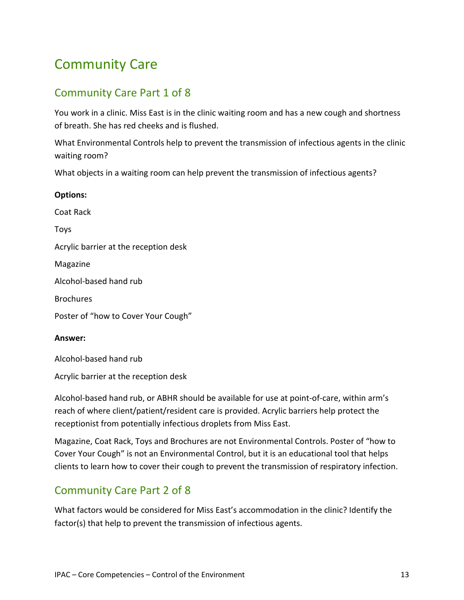## <span id="page-12-2"></span>Community Care

### <span id="page-12-0"></span>Community Care Part 1 of 8

You work in a clinic. Miss East is in the clinic waiting room and has a new cough and shortness of breath. She has red cheeks and is flushed.

What Environmental Controls help to prevent the transmission of infectious agents in the clinic waiting room?

What objects in a waiting room can help prevent the transmission of infectious agents?

| <b>Options:</b>                       |
|---------------------------------------|
| Coat Rack                             |
| <b>Toys</b>                           |
| Acrylic barrier at the reception desk |
| Magazine                              |
| Alcohol-based hand rub                |
| <b>Brochures</b>                      |
| Poster of "how to Cover Your Cough"   |
|                                       |

#### **Answer:**

Alcohol-based hand rub

Acrylic barrier at the reception desk

Alcohol-based hand rub, or ABHR should be available for use at point-of-care, within arm's reach of where client/patient/resident care is provided. Acrylic barriers help protect the receptionist from potentially infectious droplets from Miss East.

Magazine, Coat Rack, Toys and Brochures are not Environmental Controls. Poster of "how to Cover Your Cough" is not an Environmental Control, but it is an educational tool that helps clients to learn how to cover their cough to prevent the transmission of respiratory infection.

### <span id="page-12-1"></span>Community Care Part 2 of 8

What factors would be considered for Miss East's accommodation in the clinic? Identify the factor(s) that help to prevent the transmission of infectious agents.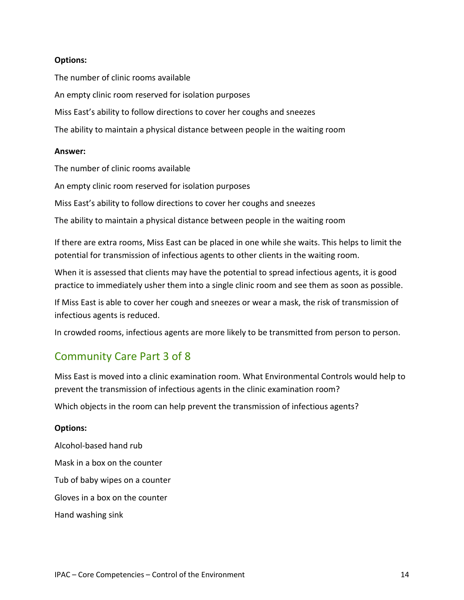#### **Options:**

The number of clinic rooms available An empty clinic room reserved for isolation purposes Miss East's ability to follow directions to cover her coughs and sneezes The ability to maintain a physical distance between people in the waiting room

#### **Answer:**

The number of clinic rooms available

An empty clinic room reserved for isolation purposes

Miss East's ability to follow directions to cover her coughs and sneezes

The ability to maintain a physical distance between people in the waiting room

If there are extra rooms, Miss East can be placed in one while she waits. This helps to limit the potential for transmission of infectious agents to other clients in the waiting room.

When it is assessed that clients may have the potential to spread infectious agents, it is good practice to immediately usher them into a single clinic room and see them as soon as possible.

If Miss East is able to cover her cough and sneezes or wear a mask, the risk of transmission of infectious agents is reduced.

In crowded rooms, infectious agents are more likely to be transmitted from person to person.

### <span id="page-13-0"></span>Community Care Part 3 of 8

Miss East is moved into a clinic examination room. What Environmental Controls would help to prevent the transmission of infectious agents in the clinic examination room?

Which objects in the room can help prevent the transmission of infectious agents?

#### **Options:**

Alcohol-based hand rub Mask in a box on the counter Tub of baby wipes on a counter Gloves in a box on the counter Hand washing sink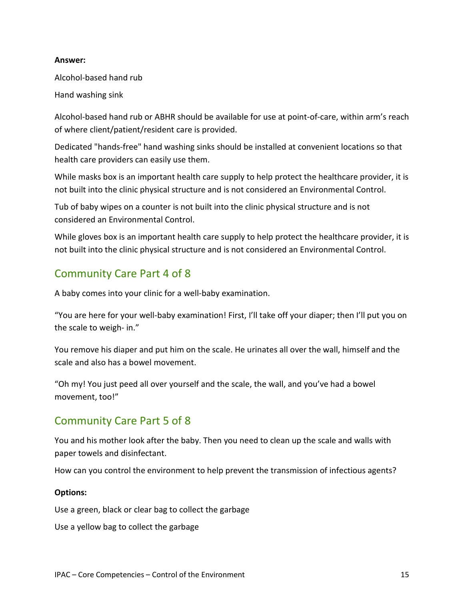#### **Answer:**

Alcohol-based hand rub

Hand washing sink

Alcohol-based hand rub or ABHR should be available for use at point-of-care, within arm's reach of where client/patient/resident care is provided.

Dedicated "hands-free" hand washing sinks should be installed at convenient locations so that health care providers can easily use them.

While masks box is an important health care supply to help protect the healthcare provider, it is not built into the clinic physical structure and is not considered an Environmental Control.

Tub of baby wipes on a counter is not built into the clinic physical structure and is not considered an Environmental Control.

While gloves box is an important health care supply to help protect the healthcare provider, it is not built into the clinic physical structure and is not considered an Environmental Control.

### <span id="page-14-0"></span>Community Care Part 4 of 8

A baby comes into your clinic for a well-baby examination.

"You are here for your well-baby examination! First, I'll take off your diaper; then I'll put you on the scale to weigh- in."

You remove his diaper and put him on the scale. He urinates all over the wall, himself and the scale and also has a bowel movement.

"Oh my! You just peed all over yourself and the scale, the wall, and you've had a bowel movement, too!"

### <span id="page-14-1"></span>Community Care Part 5 of 8

You and his mother look after the baby. Then you need to clean up the scale and walls with paper towels and disinfectant.

How can you control the environment to help prevent the transmission of infectious agents?

#### **Options:**

Use a green, black or clear bag to collect the garbage

Use a yellow bag to collect the garbage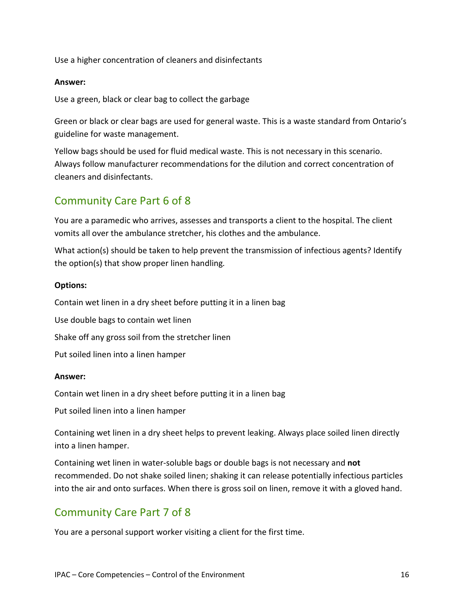Use a higher concentration of cleaners and disinfectants

#### **Answer:**

Use a green, black or clear bag to collect the garbage

Green or black or clear bags are used for general waste. This is a waste standard from Ontario's guideline for waste management.

Yellow bags should be used for fluid medical waste. This is not necessary in this scenario. Always follow manufacturer recommendations for the dilution and correct concentration of cleaners and disinfectants.

### <span id="page-15-0"></span>Community Care Part 6 of 8

You are a paramedic who arrives, assesses and transports a client to the hospital. The client vomits all over the ambulance stretcher, his clothes and the ambulance.

What action(s) should be taken to help prevent the transmission of infectious agents? Identify the option(s) that show proper linen handling*.*

#### **Options:**

Contain wet linen in a dry sheet before putting it in a linen bag Use double bags to contain wet linen

Shake off any gross soil from the stretcher linen

Put soiled linen into a linen hamper

#### **Answer:**

Contain wet linen in a dry sheet before putting it in a linen bag

Put soiled linen into a linen hamper

Containing wet linen in a dry sheet helps to prevent leaking. Always place soiled linen directly into a linen hamper.

Containing wet linen in water-soluble bags or double bags is not necessary and **not** recommended. Do not shake soiled linen; shaking it can release potentially infectious particles into the air and onto surfaces. When there is gross soil on linen, remove it with a gloved hand.

### <span id="page-15-1"></span>Community Care Part 7 of 8

You are a personal support worker visiting a client for the first time.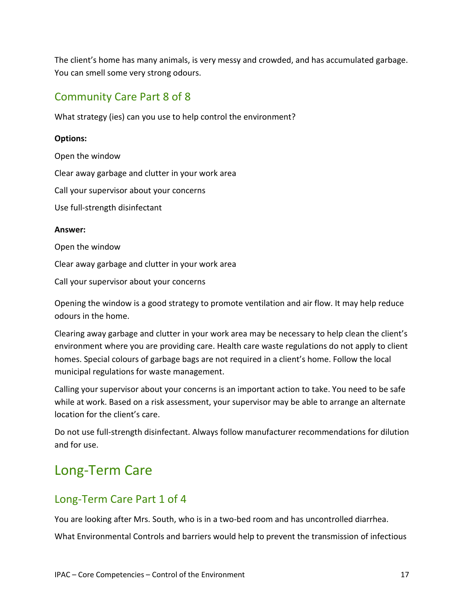The client's home has many animals, is very messy and crowded, and has accumulated garbage. You can smell some very strong odours.

### <span id="page-16-0"></span>Community Care Part 8 of 8

What strategy (ies) can you use to help control the environment?

#### **Options:**

Open the window Clear away garbage and clutter in your work area Call your supervisor about your concerns Use full-strength disinfectant

#### **Answer:**

Open the window

Clear away garbage and clutter in your work area

Call your supervisor about your concerns

Opening the window is a good strategy to promote ventilation and air flow. It may help reduce odours in the home.

Clearing away garbage and clutter in your work area may be necessary to help clean the client's environment where you are providing care. Health care waste regulations do not apply to client homes. Special colours of garbage bags are not required in a client's home. Follow the local municipal regulations for waste management.

Calling your supervisor about your concerns is an important action to take. You need to be safe while at work. Based on a risk assessment, your supervisor may be able to arrange an alternate location for the client's care.

Do not use full-strength disinfectant. Always follow manufacturer recommendations for dilution and for use.

# <span id="page-16-1"></span>Long-Term Care

### <span id="page-16-2"></span>Long-Term Care Part 1 of 4

You are looking after Mrs. South, who is in a two-bed room and has uncontrolled diarrhea. What Environmental Controls and barriers would help to prevent the transmission of infectious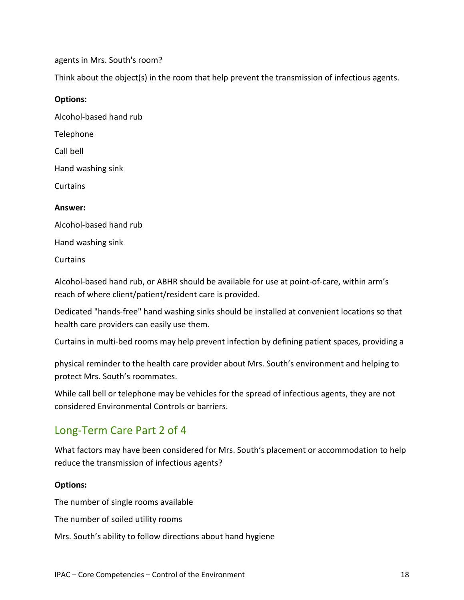agents in Mrs. South's room?

Think about the object(s) in the room that help prevent the transmission of infectious agents.

#### **Options:**

Alcohol-based hand rub Telephone Call bell Hand washing sink Curtains **Answer:** Alcohol-based hand rub

Hand washing sink

Curtains

Alcohol-based hand rub, or ABHR should be available for use at point-of-care, within arm's reach of where client/patient/resident care is provided.

Dedicated "hands-free" hand washing sinks should be installed at convenient locations so that health care providers can easily use them.

Curtains in multi-bed rooms may help prevent infection by defining patient spaces, providing a

physical reminder to the health care provider about Mrs. South's environment and helping to protect Mrs. South's roommates.

While call bell or telephone may be vehicles for the spread of infectious agents, they are not considered Environmental Controls or barriers.

### <span id="page-17-0"></span>Long-Term Care Part 2 of 4

What factors may have been considered for Mrs. South's placement or accommodation to help reduce the transmission of infectious agents?

#### **Options:**

The number of single rooms available

The number of soiled utility rooms

Mrs. South's ability to follow directions about hand hygiene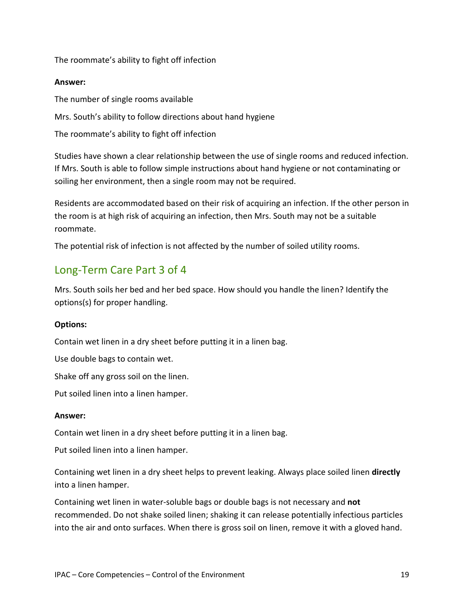The roommate's ability to fight off infection

#### **Answer:**

The number of single rooms available Mrs. South's ability to follow directions about hand hygiene The roommate's ability to fight off infection

Studies have shown a clear relationship between the use of single rooms and reduced infection. If Mrs. South is able to follow simple instructions about hand hygiene or not contaminating or soiling her environment, then a single room may not be required.

Residents are accommodated based on their risk of acquiring an infection. If the other person in the room is at high risk of acquiring an infection, then Mrs. South may not be a suitable roommate.

The potential risk of infection is not affected by the number of soiled utility rooms.

### <span id="page-18-0"></span>Long-Term Care Part 3 of 4

Mrs. South soils her bed and her bed space. How should you handle the linen? Identify the options(s) for proper handling.

#### **Options:**

Contain wet linen in a dry sheet before putting it in a linen bag.

Use double bags to contain wet.

Shake off any gross soil on the linen.

Put soiled linen into a linen hamper.

#### **Answer:**

Contain wet linen in a dry sheet before putting it in a linen bag.

Put soiled linen into a linen hamper.

Containing wet linen in a dry sheet helps to prevent leaking. Always place soiled linen **directly** into a linen hamper.

Containing wet linen in water-soluble bags or double bags is not necessary and **not** recommended. Do not shake soiled linen; shaking it can release potentially infectious particles into the air and onto surfaces. When there is gross soil on linen, remove it with a gloved hand.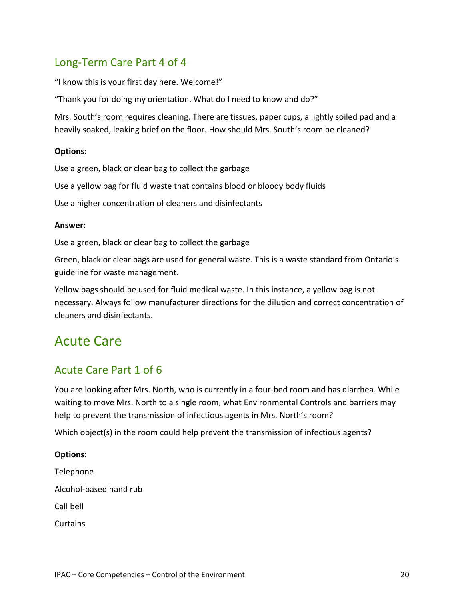### <span id="page-19-0"></span>Long-Term Care Part 4 of 4

"I know this is your first day here. Welcome!"

"Thank you for doing my orientation. What do I need to know and do?"

Mrs. South's room requires cleaning. There are tissues, paper cups, a lightly soiled pad and a heavily soaked, leaking brief on the floor. How should Mrs. South's room be cleaned?

#### **Options:**

Use a green, black or clear bag to collect the garbage

Use a yellow bag for fluid waste that contains blood or bloody body fluids

Use a higher concentration of cleaners and disinfectants

#### **Answer:**

Use a green, black or clear bag to collect the garbage

Green, black or clear bags are used for general waste. This is a waste standard from Ontario's guideline for waste management.

Yellow bags should be used for fluid medical waste. In this instance, a yellow bag is not necessary. Always follow manufacturer directions for the dilution and correct concentration of cleaners and disinfectants.

### <span id="page-19-1"></span>Acute Care

### <span id="page-19-2"></span>Acute Care Part 1 of 6

You are looking after Mrs. North, who is currently in a four-bed room and has diarrhea. While waiting to move Mrs. North to a single room, what Environmental Controls and barriers may help to prevent the transmission of infectious agents in Mrs. North's room?

Which object(s) in the room could help prevent the transmission of infectious agents?

### **Options:** Telephone Alcohol-based hand rub

Call bell

Curtains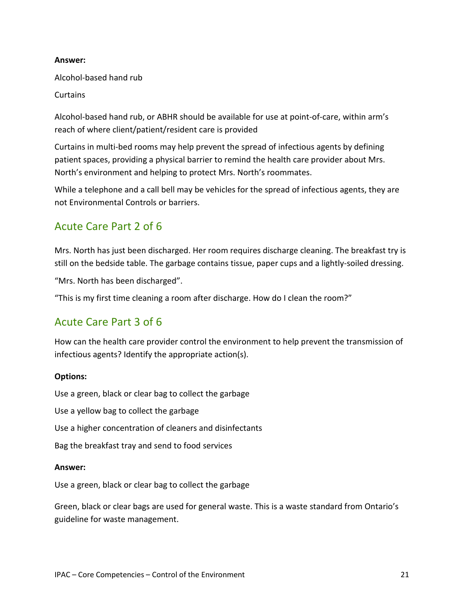#### **Answer:**

Alcohol-based hand rub

Curtains

Alcohol-based hand rub, or ABHR should be available for use at point-of-care, within arm's reach of where client/patient/resident care is provided

Curtains in multi-bed rooms may help prevent the spread of infectious agents by defining patient spaces, providing a physical barrier to remind the health care provider about Mrs. North's environment and helping to protect Mrs. North's roommates.

While a telephone and a call bell may be vehicles for the spread of infectious agents, they are not Environmental Controls or barriers.

### <span id="page-20-0"></span>Acute Care Part 2 of 6

Mrs. North has just been discharged. Her room requires discharge cleaning. The breakfast try is still on the bedside table. The garbage contains tissue, paper cups and a lightly-soiled dressing.

"Mrs. North has been discharged".

"This is my first time cleaning a room after discharge. How do I clean the room?"

### <span id="page-20-1"></span>Acute Care Part 3 of 6

How can the health care provider control the environment to help prevent the transmission of infectious agents? Identify the appropriate action(s).

#### **Options:**

Use a green, black or clear bag to collect the garbage

Use a yellow bag to collect the garbage

Use a higher concentration of cleaners and disinfectants

Bag the breakfast tray and send to food services

#### **Answer:**

Use a green, black or clear bag to collect the garbage

Green, black or clear bags are used for general waste. This is a waste standard from Ontario's guideline for waste management.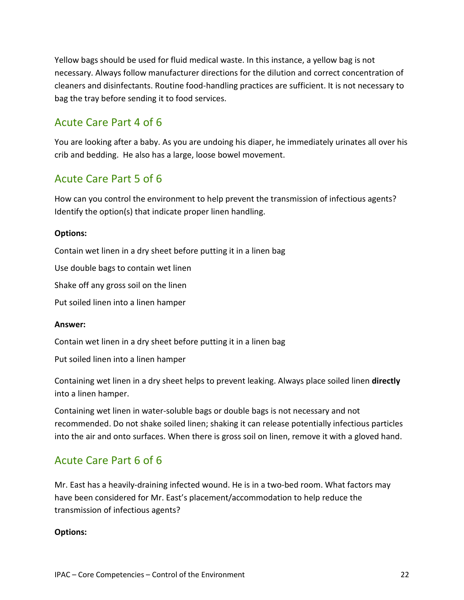Yellow bags should be used for fluid medical waste. In this instance, a yellow bag is not necessary. Always follow manufacturer directions for the dilution and correct concentration of cleaners and disinfectants. Routine food-handling practices are sufficient. It is not necessary to bag the tray before sending it to food services.

### <span id="page-21-0"></span>Acute Care Part 4 of 6

You are looking after a baby. As you are undoing his diaper, he immediately urinates all over his crib and bedding. He also has a large, loose bowel movement.

### <span id="page-21-1"></span>Acute Care Part 5 of 6

How can you control the environment to help prevent the transmission of infectious agents? Identify the option(s) that indicate proper linen handling.

#### **Options:**

Contain wet linen in a dry sheet before putting it in a linen bag

Use double bags to contain wet linen

Shake off any gross soil on the linen

Put soiled linen into a linen hamper

#### **Answer:**

Contain wet linen in a dry sheet before putting it in a linen bag

Put soiled linen into a linen hamper

Containing wet linen in a dry sheet helps to prevent leaking. Always place soiled linen **directly**  into a linen hamper.

Containing wet linen in water-soluble bags or double bags is not necessary and not recommended. Do not shake soiled linen; shaking it can release potentially infectious particles into the air and onto surfaces. When there is gross soil on linen, remove it with a gloved hand.

### <span id="page-21-2"></span>Acute Care Part 6 of 6

Mr. East has a heavily-draining infected wound. He is in a two-bed room. What factors may have been considered for Mr. East's placement/accommodation to help reduce the transmission of infectious agents?

#### **Options:**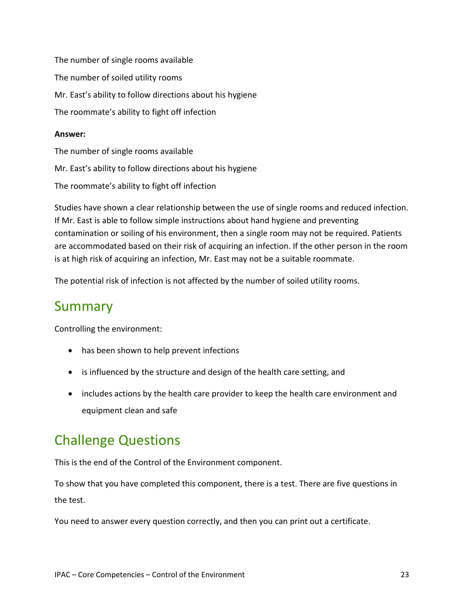The number of single rooms available The number of soiled utility rooms Mr. East's ability to follow directions about his hygiene The roommate's ability to fight off infection

#### **Answer:**

The number of single rooms available Mr. East's ability to follow directions about his hygiene The roommate's ability to fight off infection

Studies have shown a clear relationship between the use of single rooms and reduced infection. If Mr. East is able to follow simple instructions about hand hygiene and preventing contamination or soiling of his environment, then a single room may not be required. Patients are accommodated based on their risk of acquiring an infection. If the other person in the room is at high risk of acquiring an infection, Mr. East may not be a suitable roommate.

The potential risk of infection is not affected by the number of soiled utility rooms.

## <span id="page-22-0"></span>Summary

Controlling the environment:

- has been shown to help prevent infections
- is influenced by the structure and design of the health care setting, and
- includes actions by the health care provider to keep the health care environment and equipment clean and safe

## <span id="page-22-1"></span>Challenge Questions

This is the end of the Control of the Environment component.

To show that you have completed this component, there is a test. There are five questions in the test.

You need to answer every question correctly, and then you can print out a certificate.